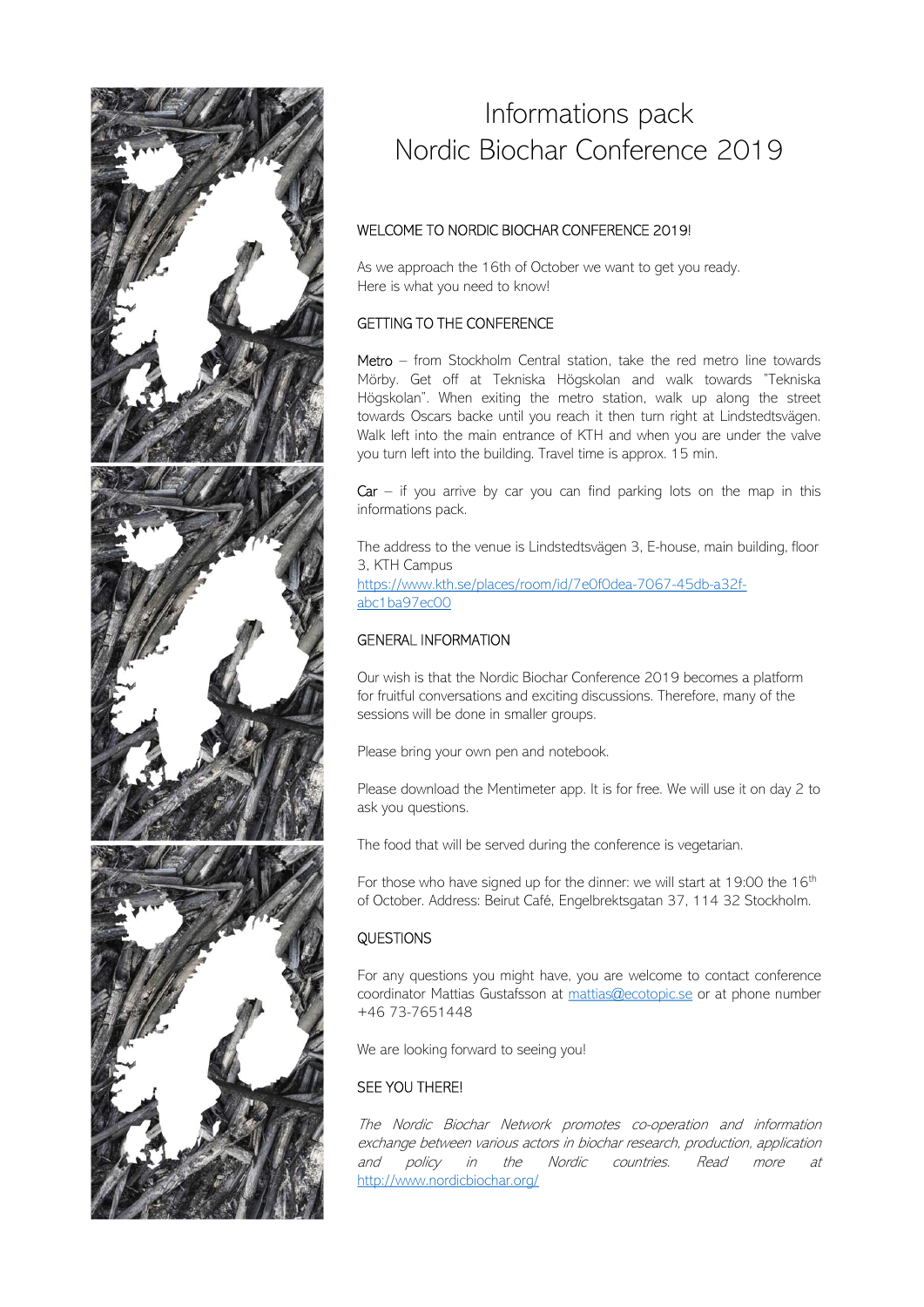

# Informations pack Nordic Biochar Conference 2019 Informations pack<br>Nordic Biochar Conference 2019<br>WELCOME TO NORDIC BIOCHAR CONFERENCE 2019!<br>As we approach the 16th of October we want to get you ready.<br>Here is what you need to know!<br>GETTING TO THE CONFERENCE Informations pack<br>
Nordic Biochar Conference 2019<br>
WELCOME TO NORDIC BIOCHAR CONFERENCE 2019!<br>
As we approach the 16th of October we want to get you ready.<br>
Here is what you need to know!<br>
GETTING TO THE CONFERENCE<br>
Method Informations pack<br>Mordic Biochar Conference 2019<br>WELCOME TO NORDIC BIOCHAR CONFERENCE 2019!<br>As we approach the 16th of October we want to get you ready.<br>Here is what you need to know!<br>GETTING TO THE CONFERENCE<br>Metro — from

Informations pack<br>
Mordic Biochar Conference 2019<br>
WELCOME TO NORDIC BIOCHAR CONFERENCE 2019|<br>
As we approach the 16th of October we want to get you ready.<br>
Here is what you need to know!<br>
GETTING TO THE CONFERENCE<br>
Metro Informations pack<br>
Mordic Biochar Conference 2019<br>
MELCOME TO NORDIC BIOCHAR CONFERENCE 2019!<br>
As we approach the 16th of October we want to get you ready.<br>
Here is what you need to know!<br>
GETTING TO THE CONFERENCE<br>
Metro Informations pack<br>
Mordic Biochar Conference 2019<br>
WELCOME TO NORDIC BIOCHAR CONFERENCE 2019!<br>
As we approach the 16th of October we want to get you ready.<br>
Here is what you need to know!<br>
GETTING TO THE CONFERENCE<br>
Metro Informations pack<br>
Nordic Biochar Conference 2019<br>
WELCOME TO NORDIC BIOCHAR CONFERENCE 2019!<br>
As we approach the 16th of October we want to get you ready.<br>
Here is what you need to know!<br>
GETTING TO THE CONFERENCE<br>
Metro Informations pack<br>
Nordic Biochar Conference 2019<br>
MELCOME TO NORDIC BIOCHAR CONFERENCE 2019!<br>
As we approach the 16th of October we want to get you ready.<br>
Here is what you need to know!<br>
GETTING TO THE CONFERENCE<br>
Metro **Informations pack**<br> **Nordic Biochar Conference 2019**<br>
WELCOME TO NORDIC BIOCHAR CONFERENCE 2019!<br>
As we approach the 16th of October we want to get you ready.<br>
Here is what you need to know!<br> **GETTING TO THE CONFERENCE**<br> Informations pack<br>
Nordic Biochar Conference 2019<br>
MELCOME TO NORDIC BIOCHAR CONFERENCE 2019!<br>
As we approach the 16th of October we want to get you ready.<br>
Here is what you need to know!<br>
GETTING TO THE CONFERENCE<br>
Metro **CAR – Informations pack**<br> **CAR – Information Conference 2019**<br>
MELCOME TO NORDIC BIOCHAR CONFERENCE 2019!<br>
As we approach the 16th of October we want to get you ready.<br>
Here is what you need to know!<br> **GETTING TO THE CON** IMPORTER CONFERENCE 2019<br>
WELCOME TO NORDIC BIOCHAR CONFERENCE 2019!<br>
As we approach the 16th of October we want to get you ready.<br>
Here is what you need to know!<br>
GETTING TO THE CONFERENCE<br>
Metro – from Stockholm Central TNOTGIC DIOCTICL COTTE ETICE ZOT 9<br>
WELCOME TO NORDIC BIOCHAR CONFERENCE 2019!<br>
As we approach the 16th of October we want to get you ready.<br>
Here is what you need to know!<br>
GETTING TO THE CONFERENCE<br>
Metro – from Stockhol Högskolan". When exiting the metro station, walk up along the street<br>towards Oscars backe until you reach it then turn right at Lindstedtsvägen.<br>Walk left into the main entrance of KTH and when you are under the valve<br>you

3, KTH Campus https://www.kth.se/places/room/id/7e0f0dea-7067-45db-a32fabc1ba97ec00 informations pack.<br>
The address to the venue is Lindstedtsvägen 3, E-house, main building, floor<br>
31, KTH Campus<br>
https://www.kth.se/places/room/id/7e0f0dea-7067-45db-a32f-<br>
abcl:ba97ex00<br> **GENERAL INFORMATION**<br>
Our wish i

# GENERAL INFORMATION

Our wish is that the Nordic Biochar Conference 2019 becomes a platform for fruitful conversations and exciting discussions. Therefore, many of the sessions will be done in smaller groups. https://www.kth.se/places/room/id/7e010dea-7067-45db-a32f-<br>abc1ba97ec00<br>GENERAL INFORMATION<br>Our wish is that the Nordic Biochar Conference 2019 becomes a platform<br>for fruitful conversations and exciting discussions. Theref abc1ba97ec00<br>GENERAL INFORMATION<br>Our wish is that the Nordic Biochar Conference 2019 becomes a platform<br>for fruitful conversations and exciting discussions. Therefore, many of the<br>sessions will be done in smaller groups.<br>P **GENERAL INFORMATION**<br> **Our wish is that the Nordic Biochar Conference 2019 becomes a platform**<br>
for fruitful conversations and exciting discussions. Therefore, many of the<br>
sessions will be done in smaller groups.<br>
Please Our wish is that the Nordic Biochar Conference 2019 becomes a platform<br>for fruitful conversations and exciting discussions. Therefore, many of the<br>sessions will be done in smaller groups.<br>Please bring your own pen and note

Please bring your own pen and notebook.

ask you questions.

The food that will be served during the conference is vegetarian.

For those who have signed up for the dinner: we will start at 19:00 the 16<sup>th</sup>

# **QUESTIONS**

for fruitful conversations and exciting discussions. Therefore, many of the<br>sessions will be done in smaller groups.<br>Please bring your own pen and notebook.<br>Please download the Mentimeter app. It is for free. We will use i Please bring your own pen and notebook.<br>
Please download the Mentimeter app. It is for free. We will use it on day 2 to<br>
ask you questions.<br>
The food that will be served during the conference is vegetarian.<br>
For those who Please bring your own pen and notebook.<br>
Please download the Mentimeter app. It is for free. We will use it on day 2 to<br>
ask you questions.<br>
The food that will be served during the conference is vegetarian.<br>
For those who Please download the Mentimeter app. It is for free. We will use it on day 2 to<br>ask you questions.<br>The food that will be served during the conference is vegetarian.<br>For those who have signed up for the dinner: we will start http://www.nordicbiochar.org/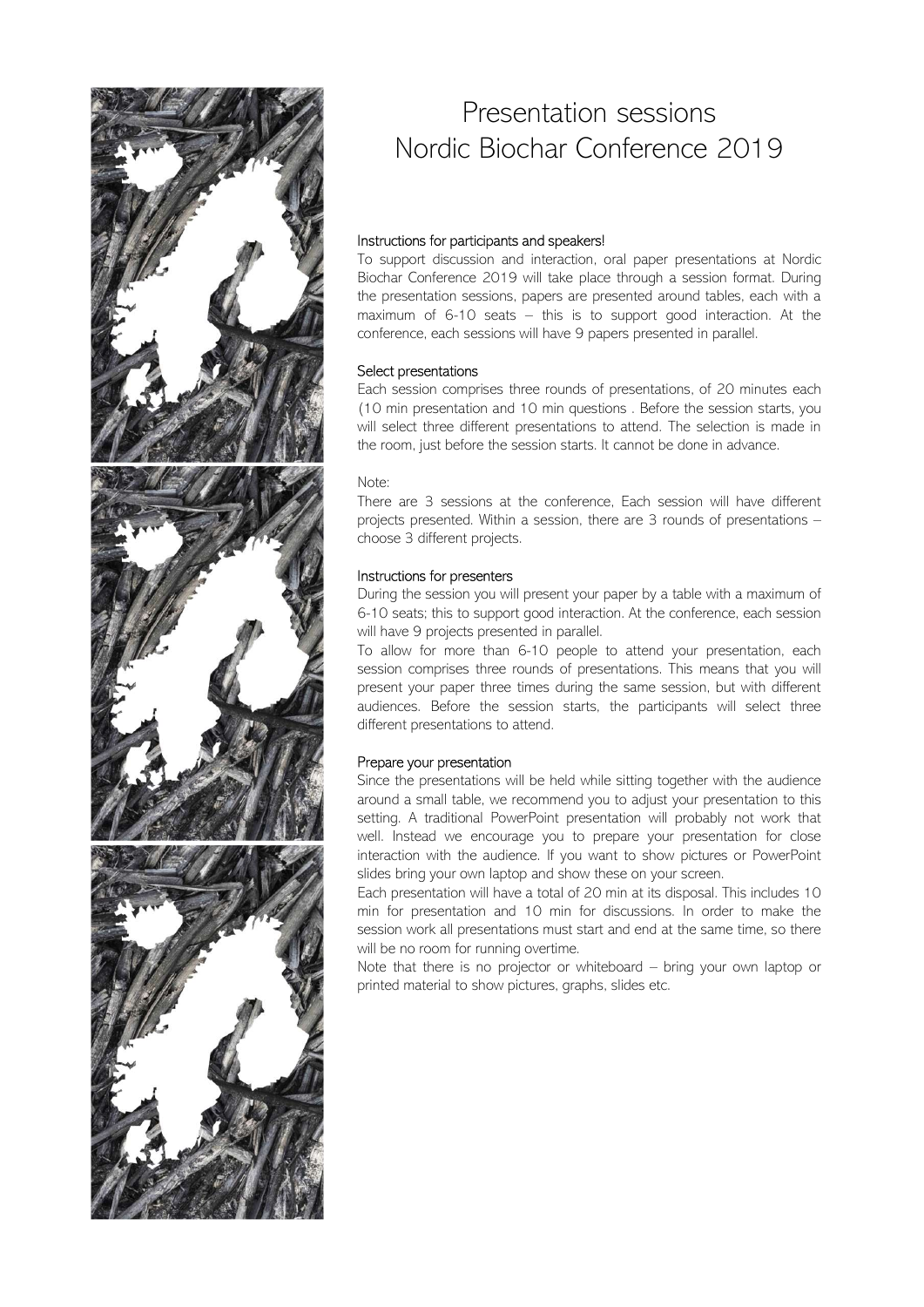

# Presentation sessions Nordic Biochar Conference 2019

Presentation sessions<br>
Nordic Biochar Conference 2019<br>
Instructions for participants and speakers!<br>
To support discussion and interaction, oral paper presentations at Nordic<br>
Biochar Conference 2019 will take place through Presentation sessions<br>
Nordic Biochar Conference 2019<br>
Instructions for participants and speakers!<br>
To support discussion and interaction, oral paper presentations at Nordic<br>
Biochar Conference 2019 will take place through Presentation sessions<br>
Nordic Biochar Conference 2019<br>
Instructions for participants and speakers<br>
To support discussion and interaction, oral paper presentations at Nordic<br>
Biochar Conference 2019 will take place through Presentation sessions<br>
Nordic Biochar Conference 2019<br>
Instructions for participants and speakers!<br>
To support discussion and interaction, oral paper presentations at Nordic<br>
Biochar Conference 2019 will take place through Presentation sessions<br>
Mordic Biochar Conference 2019<br>
Instructions for participants and speakers!<br>
To support discussion and interaction, oral paper presentations at Nordic<br>
Biochar Conference 2019 will take place through Presentation sessions<br>
Nordic Biochar Conference 2019<br>
Instructions for participants and speakers!<br>
To support discussion and interaction, oral paper presentations at Nordic<br>
Biochar Conference 2019 will take place through Presentation sessions<br>
Nordic Biochar Conference 2019<br>
Instructions for participants and speakers!<br>
To support discussion and interaction, oral paper presentations at Nordic<br>
Biodar Conference 2019 will take place through Presentation sessions<br>
Nordic Biochar Conference 2019<br>
Instructions for participants and speakers<br>
To support discussion and interaction, oral paper presentations at Nordic<br>
Biochar Conference 2019 will take place through Presentation sessions<br>
Wordic Biochar Conference 2019<br>
Instructions for participants and speakers<br>
To support discussion and interaction, oral apace presentations at Nordic<br>
Biochar Conference 2019 will take place through Presentation sessions<br>
Nordic Biochar Conference 2019<br>
Instructions for participants and speakers!<br>
To support discussion and interaction, oral paper presentations at Nordic<br>
Biochar Conference 2019 will take place through Presentation sessions<br>
Nordic Biochar Conference 2019<br>
Instructions for participants and speakers<br>
To support discussion and interaction, oral paper presentations at Nordic<br>
Biochar Conference, 2019 will take place through Mordic Biochar Conference 2019<br>
Instructions for participants and speakers!<br>
To support discussion and interaction, oral paper presentations at Nordic<br>
Biochar Conference 2019 will take place through a session format. Duri Nordic Biochar Conference 2019<br>
Instructions for participants and speakers!<br>
To support discussion and interaction, oral paper presentations at Nordic<br>
To support discussion and interaction, oral paper presentations at Nor Instructions for participants and speakers!<br>To support discussion and interaction, oral paper presentations at Nordic<br>Bischar Conference 2019 will take place through a session format. During<br>the presentation sessions, pape **Instructions for participants and speakers!**<br>To support discussion and interaction, oral paper presentations and Nordic Biochar Conference 2019 will take place through a seassion format. During<br>the presentation sessions.

## Select presentations

## Note:

# Instructions for presenters

Instructions for participants and speakers!<br>To support discussion and interaction, oral paper presentations at Nordic<br>To support discussions, papers are presented around tables, each with a<br>maximum of 6-10 seats — this is To support discussion and interaction, oral paper presentations at Nordic<br>Biochar Conference 2019 will take place through a esesion format. During<br>the presentation sessions, papers are presented around tables, each with a<br> Biochar Conference 2019 will take place through a session format. During<br>the presentation sessions, papers are presented around tables, each with a<br>maximum of 6-10 seats – this is to support good interaction. At the<br>confer the presentation essions, papers are presented around tables, each with a<br>maximum of 6-10 seats — this is to support good interaction. At the<br>conference, each sessions will have 9 papers presented in parallel.<br>**Select pres** maximum of 6-10 seats – this is to support good interaction. At the conference, each sessions will have 9 papers presented in parallel.<br> **Select presentations**<br> **Select three counds** of presentations, of 20 minutes each<br>
( conference, each sessions will have 9 papers presented in parallel.<br> **Select presentations**<br> **Edect presentations**<br> **Edect presentation and 10 min questions**. Before the session starts, you<br>
will select three different pre

# Prepare your presentation

Each session comprises three rounds of presentations, of 20 minutes each<br>
(10 min presentation and 10 min questions. Sefore the session starts, you<br>
(ii) or level different presentations to attend. The selection is made in (10 min presentation and 10 min questions . Before the session starts, you<br>will select three different presentations to attend. The selection is made in<br>the room, just before the session starts. It cannot be done in advanc will select three different presentations to attend. The selection is made in<br>the room, just before the session starts. It cannot be done in advance.<br>There are 3 sessions at the confrence, Each session will have different<br> the room, just before the session starts. It cannot be done in advance.<br>
Note:<br>
There are 3 sessions at the conference, Each session will have different<br>
There are 3 sessions at the conference, Each session will have diffe Note:<br>
There are 3 sessions at the conference, Each session will have different<br>
projects presented. Within a session, there are 3 rounds of presentations –<br>
choose 3 different projects.<br>
During the session you will presen Note:<br>There are 3 sessions at the conference, Each session will have different<br>There are 3 sessions at the conference, Each session, there are 3 rounds of presentations –<br>choose 3 different projects.<br> **Instructions for pre** There are 3 sessions at the conference, Each session will have different projects presented. Within a session, there are 3 rounds of presentations –<br>choose 3 different projects.<br>
Instructions for presenters<br>
During the ses projects presented. Within a session, there are 3 rounds of presentations –<br>choose 3 different projects.<br>IDuring the seession you will present your paper by a table with a maximum of<br>6-10 seats; this to support good intera choose 3 different projects.<br>
Instructions for presenters<br>
During the session you will present your paper by a table with a maximum of<br>
During the session you will present goal interaction. At the conference, each session<br> Instructions for presenters<br>During the session you will present your paper by a table with a maximum of<br>6-10 seats; this to support good interaction. At the conference, each session<br>cwill have 9 projects presented in paral Instructions for presenters<br>
During the sersion you will present your paper by a table with a maximum of<br>
During the session you will present do parallel.<br>
To leads; his to support good interaction. At the conference, each During the session you will present your paper by a table with a maximum of 6-10 seats; this to support good interaction. At the conference, each session will have 9 projects presented in parallel.<br>To allow for more than 6